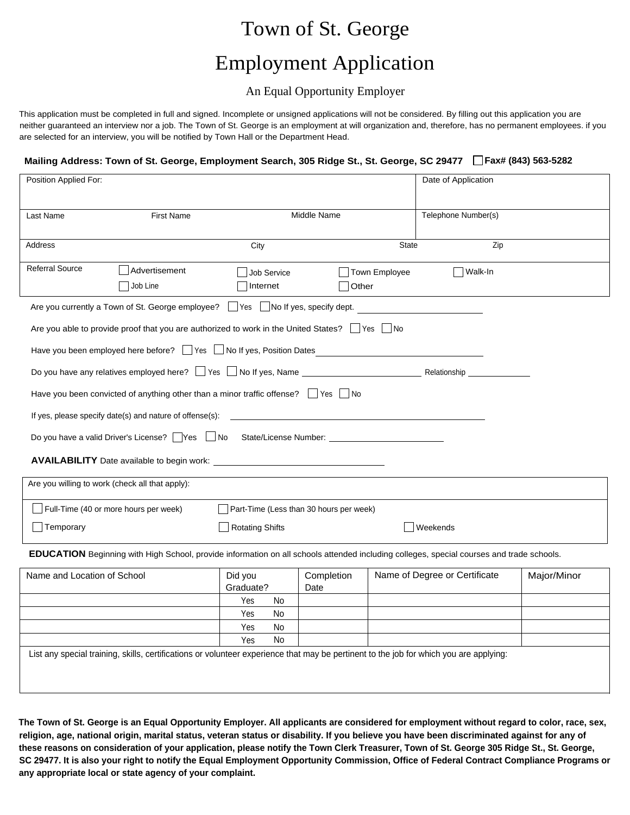## Town of St. George

# Employment Application

### An Equal Opportunity Employer

This application must be completed in full and signed. Incomplete or unsigned applications will not be considered. By filling out this application you are neither guaranteed an interview nor a job. The Town of St. George is an employment at will organization and, therefore, has no permanent employees. if you are selected for an interview, you will be notified by Town Hall or the Department Head.

### **Mailing Address: Town of St. George, Employment Search, 305 Ridge St., St. George, SC 29477 Fax# (843) 563-5282**

| Position Applied For:                                                                                                                           |                           |                                                                                                          |                        | Date of Application                               |     |  |  |
|-------------------------------------------------------------------------------------------------------------------------------------------------|---------------------------|----------------------------------------------------------------------------------------------------------|------------------------|---------------------------------------------------|-----|--|--|
| Last Name                                                                                                                                       | <b>First Name</b>         | Middle Name                                                                                              | Telephone Number(s)    |                                                   |     |  |  |
| Address                                                                                                                                         |                           | City                                                                                                     | State                  |                                                   | Zip |  |  |
| <b>Referral Source</b>                                                                                                                          | Advertisement<br>Job Line | <b>Job Service</b><br>Internet                                                                           | Town Employee<br>Other | Walk-In                                           |     |  |  |
|                                                                                                                                                 |                           | Are you currently a Town of St. George employee? $\Box$ Yes $\Box$ No If yes, specify dept.              |                        | <u> 1980 - Jan Samuel Barbara, politik e</u> ta p |     |  |  |
|                                                                                                                                                 |                           | Are you able to provide proof that you are authorized to work in the United States? $\Box$ Yes $\Box$ No |                        |                                                   |     |  |  |
|                                                                                                                                                 |                           | Have you been employed here before? Thes Last of the set, Position Dates                                 |                        |                                                   |     |  |  |
|                                                                                                                                                 |                           |                                                                                                          |                        |                                                   |     |  |  |
| Have you been convicted of anything other than a minor traffic offense? $\Box$ Yes $\Box$ No                                                    |                           |                                                                                                          |                        |                                                   |     |  |  |
| If yes, please specify date(s) and nature of offense(s):                                                                                        |                           |                                                                                                          |                        |                                                   |     |  |  |
| Do you have a valid Driver's License? Ves UNo State/License Number: ________________________________                                            |                           |                                                                                                          |                        |                                                   |     |  |  |
|                                                                                                                                                 |                           |                                                                                                          |                        |                                                   |     |  |  |
| Are you willing to work (check all that apply):                                                                                                 |                           |                                                                                                          |                        |                                                   |     |  |  |
| Full-Time (40 or more hours per week)<br>Part-Time (Less than 30 hours per week)                                                                |                           |                                                                                                          |                        |                                                   |     |  |  |
| <b>Rotating Shifts</b><br>Weekends<br>Temporary                                                                                                 |                           |                                                                                                          |                        |                                                   |     |  |  |
| <b>EDUCATION</b> Beginning with High School, provide information on all schools attended including colleges, special courses and trade schools. |                           |                                                                                                          |                        |                                                   |     |  |  |

| Name and Location of School                                                                                                            | Did you   |           | Completion | Name of Degree or Certificate | Major/Minor |  |
|----------------------------------------------------------------------------------------------------------------------------------------|-----------|-----------|------------|-------------------------------|-------------|--|
|                                                                                                                                        | Graduate? |           | Date       |                               |             |  |
|                                                                                                                                        | Yes       | No        |            |                               |             |  |
|                                                                                                                                        | Yes       | <b>No</b> |            |                               |             |  |
|                                                                                                                                        | Yes       | No        |            |                               |             |  |
|                                                                                                                                        | Yes       | No        |            |                               |             |  |
| List any special training, skills, certifications or volunteer experience that may be pertinent to the job for which you are applying: |           |           |            |                               |             |  |

**The Town of St. George is an Equal Opportunity Employer. All applicants are considered for employment without regard to color, race, sex, religion, age, national origin, marital status, veteran status or disability. If you believe you have been discriminated against for any of these reasons on consideration of your application, please notify the Town Clerk Treasurer, Town of St. George 305 Ridge St., St. George, SC 29477. It is also your right to notify the Equal Employment Opportunity Commission, Office of Federal Contract Compliance Programs or any appropriate local or state agency of your complaint.**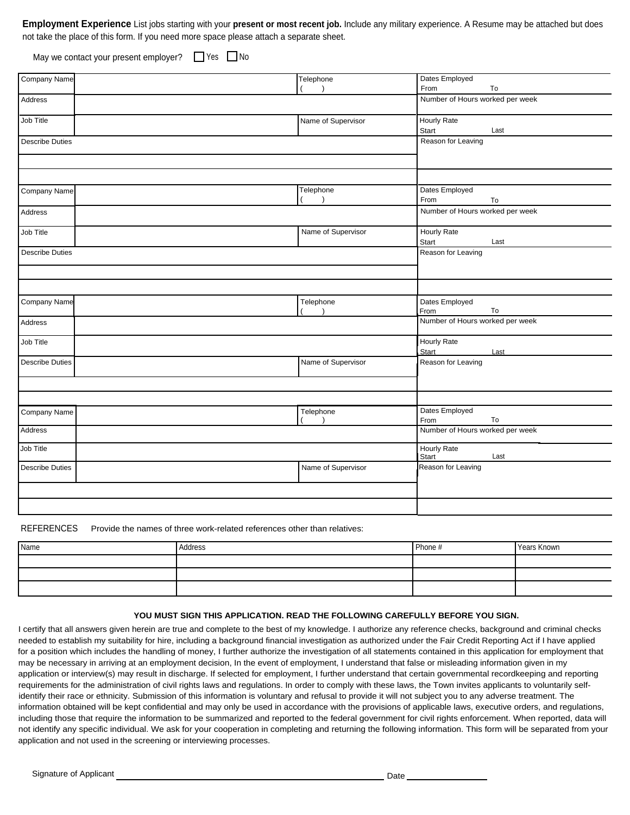**Employment Experience** List jobs starting with your **present or most recent job.** Include any military experience. A Resume may be attached but does not take the place of this form. If you need more space please attach a separate sheet.

May we contact your present employer?  $\Box$  Yes  $\Box$  No

| <b>Company Name</b>    | Telephone          | Dates Employed                  |      |
|------------------------|--------------------|---------------------------------|------|
|                        | $\lambda$          | From                            | To   |
| Address                |                    | Number of Hours worked per week |      |
| Job Title              | Name of Supervisor | Hourly Rate                     |      |
|                        |                    | Start                           | Last |
| <b>Describe Duties</b> |                    | Reason for Leaving              |      |
|                        |                    |                                 |      |
|                        |                    |                                 |      |
| Company Name           | Telephone          | Dates Employed                  |      |
|                        | $\lambda$          | From                            | To   |
| Address                |                    | Number of Hours worked per week |      |
| Job Title              | Name of Supervisor | <b>Hourly Rate</b>              |      |
|                        |                    | Start                           | Last |
| <b>Describe Duties</b> |                    | Reason for Leaving              |      |
|                        |                    |                                 |      |
|                        |                    |                                 |      |
| Company Name           | Telephone          | Dates Employed                  |      |
|                        | $\lambda$          | From                            | To   |
| Address                |                    | Number of Hours worked per week |      |
| Job Title              |                    | Hourly Rate                     |      |
|                        |                    | Start                           | Last |
| <b>Describe Duties</b> | Name of Supervisor | Reason for Leaving              |      |
|                        |                    |                                 |      |
|                        |                    |                                 |      |
| Company Name           | Telephone          | Dates Employed                  |      |
|                        |                    | From                            | To   |
| Address                |                    | Number of Hours worked per week |      |
| Job Title              |                    | <b>Hourly Rate</b><br>Start     | Last |
| <b>Describe Duties</b> | Name of Supervisor | Reason for Leaving              |      |
|                        |                    |                                 |      |
|                        |                    |                                 |      |
|                        |                    |                                 |      |

REFERENCES Provide the names of three work-related references other than relatives:

| Name | Address | Phone # | Years Known |
|------|---------|---------|-------------|
|      |         |         |             |
|      |         |         |             |
|      |         |         |             |

#### **YOU MUST SIGN THIS APPLICATION. READ THE FOLLOWING CAREFULLY BEFORE YOU SIGN.**

I certify that all answers given herein are true and complete to the best of my knowledge. I authorize any reference checks, background and criminal checks needed to establish my suitability for hire, including a background financial investigation as authorized under the Fair Credit Reporting Act if I have applied for a position which includes the handling of money, I further authorize the investigation of all statements contained in this application for employment that may be necessary in arriving at an employment decision, In the event of employment, I understand that false or misleading information given in my application or interview(s) may result in discharge. If selected for employment, I further understand that certain governmental recordkeeping and reporting requirements for the administration of civil rights laws and regulations. In order to comply with these laws, the Town invites applicants to voluntarily selfidentify their race or ethnicity. Submission of this information is voluntary and refusal to provide it will not subject you to any adverse treatment. The information obtained will be kept confidential and may only be used in accordance with the provisions of applicable laws, executive orders, and regulations, including those that require the information to be summarized and reported to the federal government for civil rights enforcement. When reported, data will not identify any specific individual. We ask for your cooperation in completing and returning the following information. This form will be separated from your application and not used in the screening or interviewing processes.